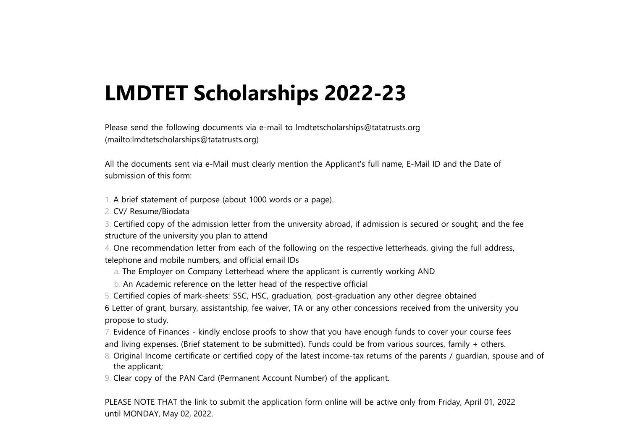# **LMDTET Scholarships 2022-23**

Please send the following documents via e-mail to [lmdtetscholarships@tatatrusts.org](mailto:lmdtetscholarships@tatatrusts.org) [\(mailto:lmdtetscholarships@tatatrusts.org\)](mailto:lmdtetscholarships@tatatrusts.org)

All the documents sent via e-Mail must clearly mention the Applicant's full name, E-Mail ID and the Date of submission of this form:

1. A brief statement of purpose (about 1000 words or a page).

2. CV/ Resume/Biodata

3. Certified copy of the admission letter from the university abroad, if admission is secured or sought; and the fee structure of the university you plan to attend

4. One recommendation letter from each of the following on the respective letterheads, giving the full address, telephone and mobile numbers, and official email IDs

- a. The Employer on Company Letterhead where the applicant is currently working AND
- b. An Academic reference on the letter head of the respective official
- 5. Certified copies of mark-sheets: SSC, HSC, graduation, post-graduation any other degree obtained

6 Letter of grant, bursary, assistantship, fee waiver, TA or any other concessions received from the university you propose to study.

7. Evidence of Finances - kindly enclose proofs to show that you have enough funds to cover your course fees

- and living expenses. (Brief statement to be submitted). Funds could be from various sources, family + others.
- 8. Original Income certificate or certified copy of the latest income-tax returns of the parents / guardian, spouse and of the applicant;
- 9. Clear copy of the PAN Card (Permanent Account Number) of the applicant.

PLEASE NOTE THAT the link to submit the application form online will be active only from Friday, April 01, 2022 until MONDAY, May 02, 2022.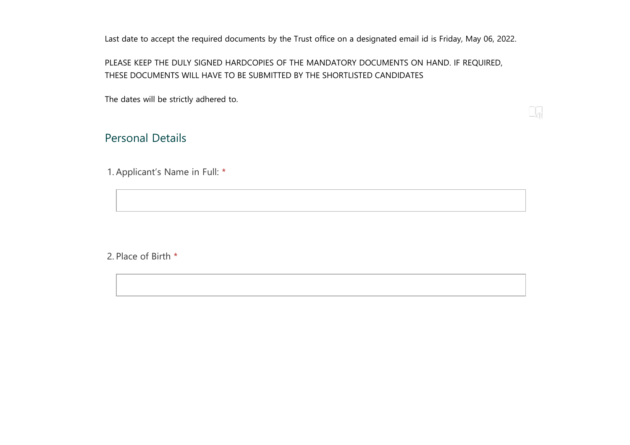Last date to accept the required documents by the Trust office on a designated email id is Friday, May 06, 2022.

## PLEASE KEEP THE DULY SIGNED HARDCOPIES OF THE MANDATORY DOCUMENTS ON HAND. IF REQUIRED, THESE DOCUMENTS WILL HAVE TO BE SUBMITTED BY THE SHORTLISTED CANDIDATES

The dates will be strictly adhered to.

# Personal Details

1. Applicant's Name in Full: \*

2. Place of Birth \*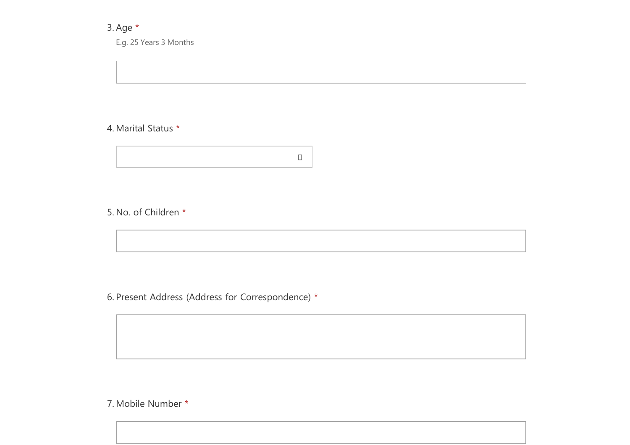# 3. Age \*

E.g. 25 Years 3 Months

## 4. Marital Status \*



## 5. No. of Children \*

6. Present Address (Address for Correspondence) \*

7. Mobile Number \*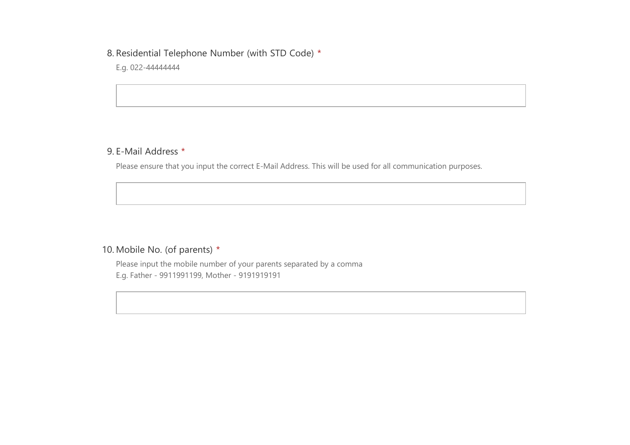#### 8. Residential Telephone Number (with STD Code) \*

E.g. 022-44444444

## 9. E-Mail Address \*

Please ensure that you input the correct E-Mail Address. This will be used for all communication purposes.

## 10. Mobile No. (of parents) \*

Please input the mobile number of your parents separated by a comma E.g. Father - 9911991199, Mother - 9191919191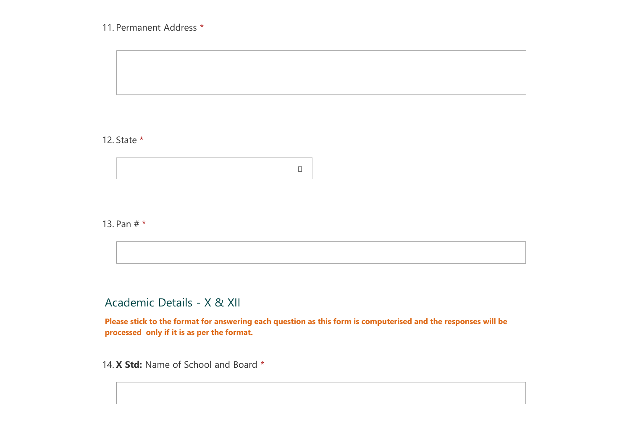## 11. Permanent Address \*

## 12. State \*



#### 13. Pan # \*

# Academic Details - X & XII

**Please stick to the format for answering each question as this form is computerised and the responses will be processed only if it is as per the format.**

14. **X Std:** Name of School and Board \*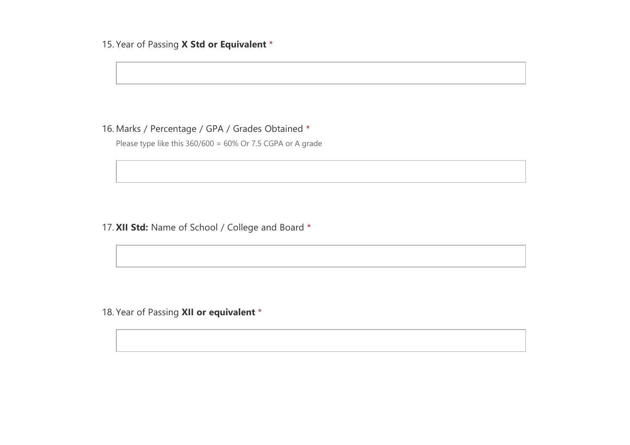## 15. Year of Passing **X Std or Equivalent** \*

## 16. Marks / Percentage / GPA / Grades Obtained \*

Please type like this 360/600 = 60% Or 7.5 CGPA or A grade

17. **XII Std:** Name of School / College and Board \*

18. Year of Passing **XII or equivalent** \*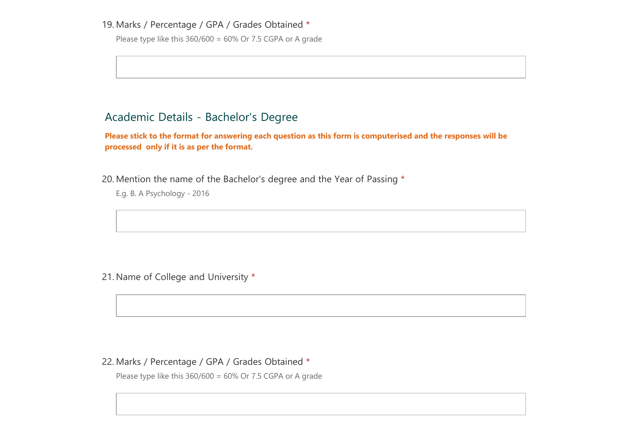#### 19. Marks / Percentage / GPA / Grades Obtained \*

Please type like this  $360/600 = 60\%$  Or 7.5 CGPA or A grade

# Academic Details - Bachelor's Degree

**Please stick to the format for answering each question as this form is computerised and the responses will be processed only if it is as per the format.**

20. Mention the name of the Bachelor's degree and the Year of Passing \*

E.g. B. A Psychology - 2016

21. Name of College and University \*

#### 22. Marks / Percentage / GPA / Grades Obtained \*

Please type like this  $360/600 = 60\%$  Or 7.5 CGPA or A grade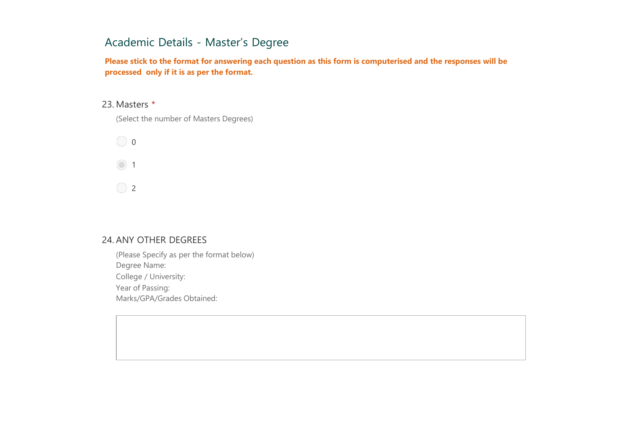# Academic Details - Master's Degree

**Please stick to the format for answering each question as this form is computerised and the responses will be processed only if it is as per the format.**

#### 23. Masters \*

(Select the number of Masters Degrees)



#### 24. ANY OTHER DEGREES

(Please Specify as per the format below) Degree Name: College / University: Year of Passing: Marks/GPA/Grades Obtained: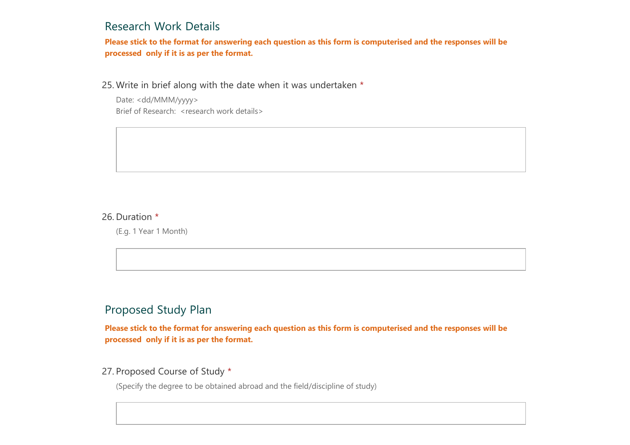## Research Work Details

**Please stick to the format for answering each question as this form is computerised and the responses will be processed only if it is as per the format.**

25. Write in brief along with the date when it was undertaken \*

Date: <dd/MMM/yyyy> Brief of Research: <research work details>

#### 26. Duration \*

(E.g. 1 Year 1 Month)

# Proposed Study Plan

**Please stick to the format for answering each question as this form is computerised and the responses will be processed only if it is as per the format.**

### 27. Proposed Course of Study \*

(Specify the degree to be obtained abroad and the field/discipline of study)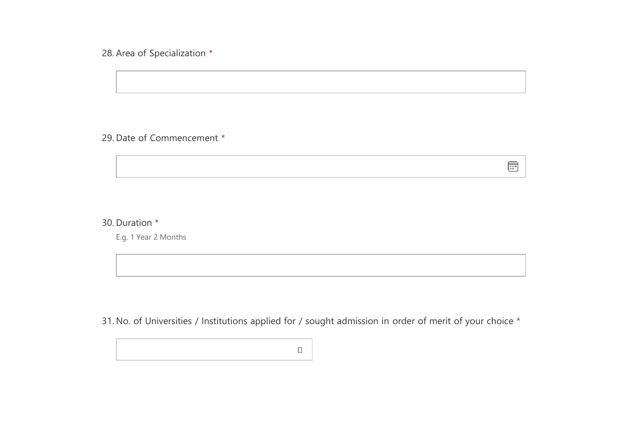28. Area of Specialization \*

## 29. Date of Commencement \*

## 30. Duration \*

E.g. 1 Year 2 Months

31. No. of Universities / Institutions applied for / sought admission in order of merit of your choice \*

 $\textcolor{blue}{\boxdot}$ 

 $\Box$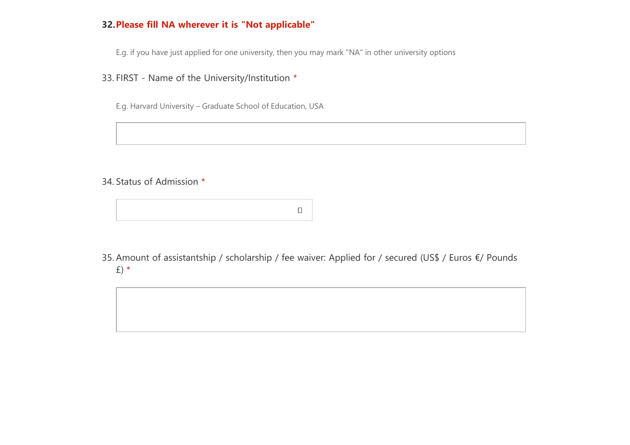## **32.Please fill NA wherever it is "Not applicable"**

E.g. if you have just applied for one university, then you may mark "NA" in other university options

33. FIRST - Name of the University/Institution \*

E.g. Harvard University – Graduate School of Education, USA

34. Status of Admission \*



35. Amount of assistantship / scholarship / fee waiver: Applied for / secured (US\$ / Euros €/ Pounds £) \*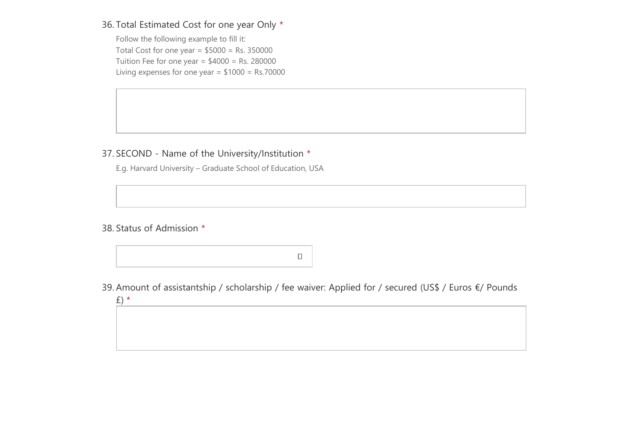Follow the following example to fill it: Total Cost for one year =  $$5000 = Rs. 350000$ Tuition Fee for one year =  $$4000 = Rs. 280000$ Living expenses for one year = \$1000 = Rs.70000

## 37. SECOND - Name of the University/Institution \*

E.g. Harvard University – Graduate School of Education, USA

38. Status of Admission \*

£) \*

 $\Box$ 

39. Amount of assistantship / scholarship / fee waiver: Applied for / secured (US\$ / Euros €/ Pounds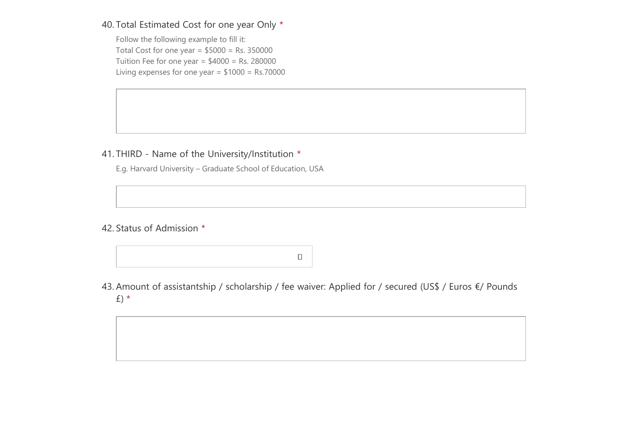Follow the following example to fill it: Total Cost for one year =  $$5000 = Rs. 350000$ Tuition Fee for one year =  $$4000 = Rs. 280000$ Living expenses for one year =  $$1000 = Rs.70000$ 

## 41. THIRD - Name of the University/Institution \*

E.g. Harvard University – Graduate School of Education, USA

## 42. Status of Admission \*

 $\Box$ 

43. Amount of assistantship / scholarship / fee waiver: Applied for / secured (US\$ / Euros €/ Pounds £) \*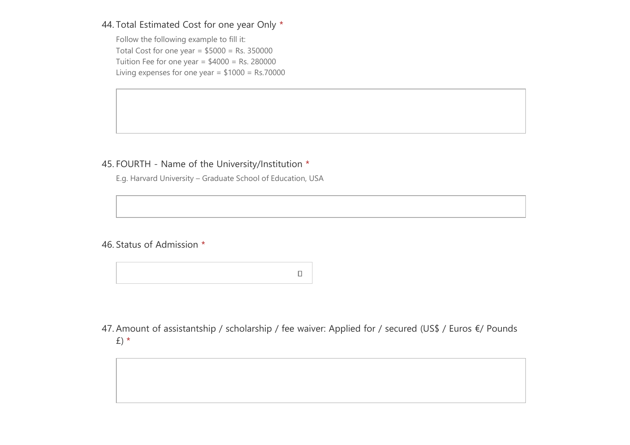Follow the following example to fill it: Total Cost for one year =  $$5000 = Rs. 350000$ Tuition Fee for one year =  $$4000 = Rs. 280000$ Living expenses for one year =  $$1000 = Rs.70000$ 

## 45. FOURTH - Name of the University/Institution \*

E.g. Harvard University – Graduate School of Education, USA

## 46. Status of Admission \*

 $\Box$ 

47. Amount of assistantship / scholarship / fee waiver: Applied for / secured (US\$ / Euros €/ Pounds £) \*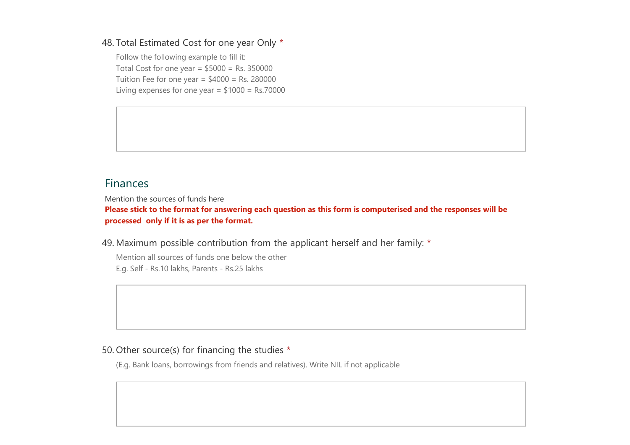Follow the following example to fill it: Total Cost for one year =  $$5000 = Rs. 350000$ Tuition Fee for one year =  $$4000 = Rs. 280000$ Living expenses for one year = \$1000 = Rs.70000

# Finances

Mention the sources of funds here

**Please stick to the format for answering each question as this form is computerised and the responses will be processed only if it is as per the format.**

49. Maximum possible contribution from the applicant herself and her family: \*

Mention all sources of funds one below the other E.g. Self - Rs.10 lakhs, Parents - Rs.25 lakhs

#### 50. Other source(s) for financing the studies \*

(E.g. Bank loans, borrowings from friends and relatives). Write NIL if not applicable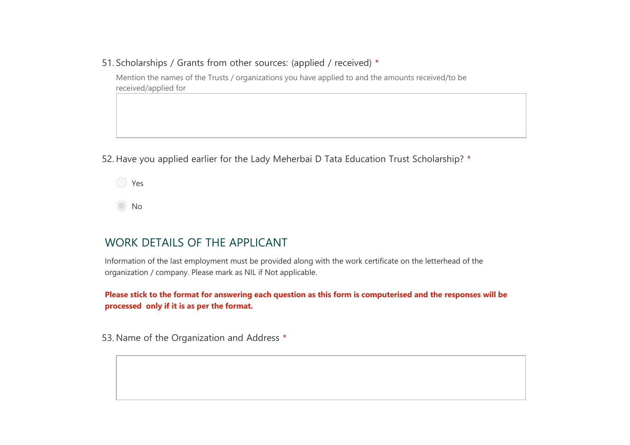51. Scholarships / Grants from other sources: (applied / received) \*

Mention the names of the Trusts / organizations you have applied to and the amounts received/to be received/applied for

52. Have you applied earlier for the Lady Meherbai D Tata Education Trust Scholarship? \*

**P** 

No

## WORK DETAILS OF THE APPLICANT

Information of the last employment must be provided along with the work certificate on the letterhead of the organization / company. Please mark as NIL if Not applicable.

**Please stick to the format for answering each question as this form is computerised and the responses will be processed only if it is as per the format.**

53. Name of the Organization and Address \*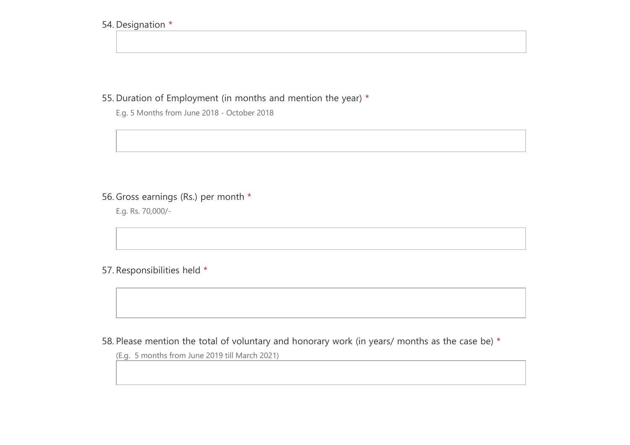#### 54. Designation \*

55. Duration of Employment (in months and mention the year) \*

E.g. 5 Months from June 2018 - October 2018

# 56. Gross earnings (Rs.) per month \*

E.g. Rs. 70,000/-

## 57. Responsibilities held \*

58. Please mention the total of voluntary and honorary work (in years/ months as the case be)  $*$ 

(E.g. 5 months from June 2019 till March 2021)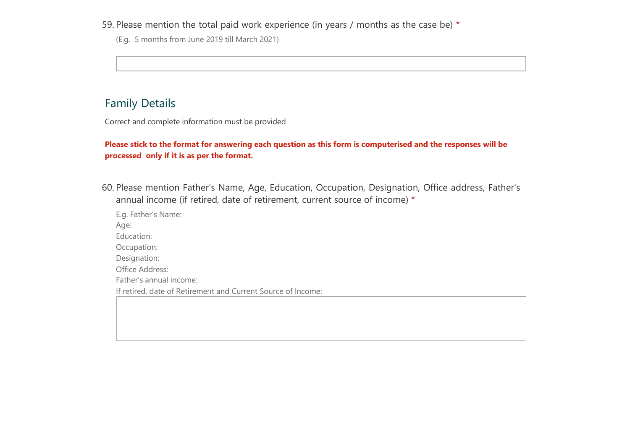59. Please mention the total paid work experience (in years / months as the case be)  $*$ 

(E.g. 5 months from June 2019 till March 2021)

# Family Details

Correct and complete information must be provided

### **Please stick to the format for answering each question as this form is computerised and the responses will be processed only if it is as per the format.**

60. Please mention Father's Name, Age, Education, Occupation, Designation, Office address, Father's annual income (if retired, date of retirement, current source of income) \*

E.g. Father's Name: Age: Education: Occupation: Designation: Office Address: Father's annual income: If retired, date of Retirement and Current Source of Income: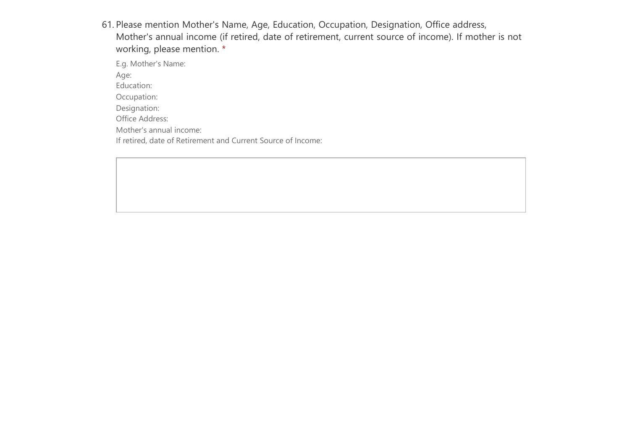61. Please mention Mother's Name, Age, Education, Occupation, Designation, Office address, Mother's annual income (if retired, date of retirement, current source of income). If mother is not working, please mention. \*

E.g. Mother's Name:

Age:

Education:

Occupation:

Designation:

Office Address:

Mother's annual income:

If retired, date of Retirement and Current Source of Income: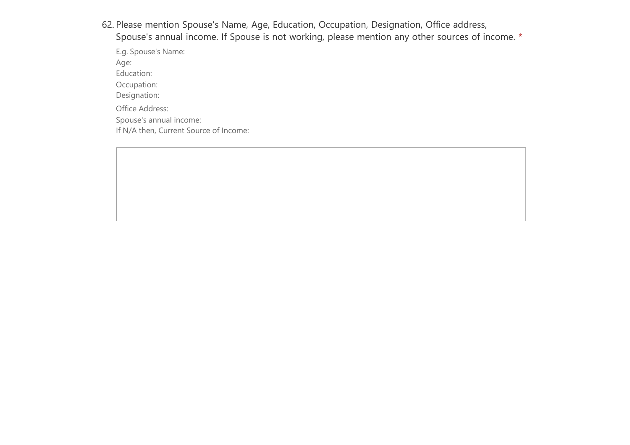62. Please mention Spouse's Name, Age, Education, Occupation, Designation, Office address,

Spouse's annual income. If Spouse is not working, please mention any other sources of income. \*

E.g. Spouse's Name: Age: Education: Occupation: Designation: Office Address: Spouse's annual income: If N/A then, Current Source of Income: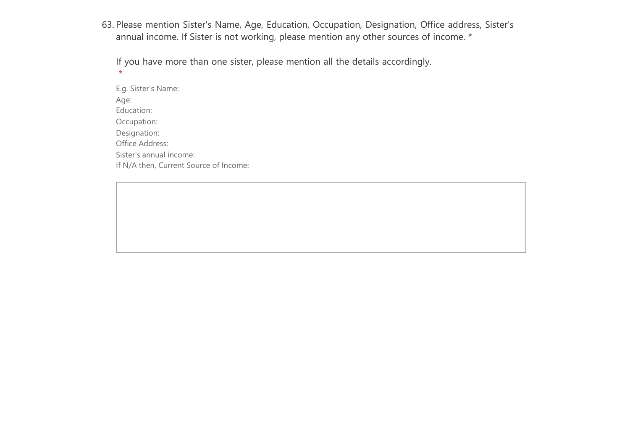63. Please mention Sister's Name, Age, Education, Occupation, Designation, Office address, Sister's annual income. If Sister is not working, please mention any other sources of income. \*

If you have more than one sister, please mention all the details accordingly. \*

E.g. Sister's Name: Age: Education: Occupation: Designation: Office Address: Sister's annual income: If N/A then, Current Source of Income: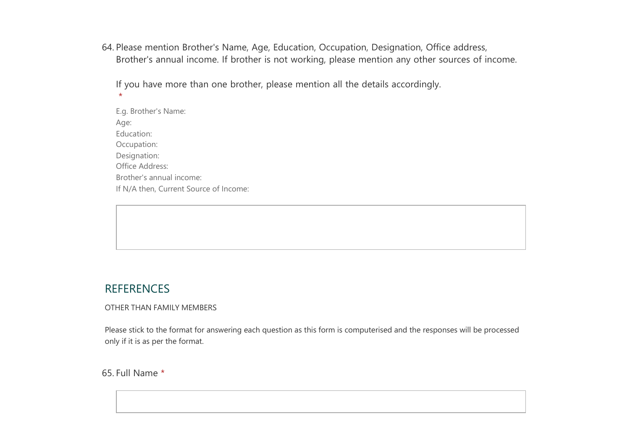64. Please mention Brother's Name, Age, Education, Occupation, Designation, Office address, Brother's annual income. If brother is not working, please mention any other sources of income.

If you have more than one brother, please mention all the details accordingly.

E.g. Brother's Name: Age: Education: Occupation: Designation: Office Address: Brother's annual income: If N/A then, Current Source of Income:

# **REFERENCES**

 $\star$ 

OTHER THAN FAMILY MEMBERS

Please stick to the format for answering each question as this form is computerised and the responses will be processed only if it is as per the format.

65. Full Name \*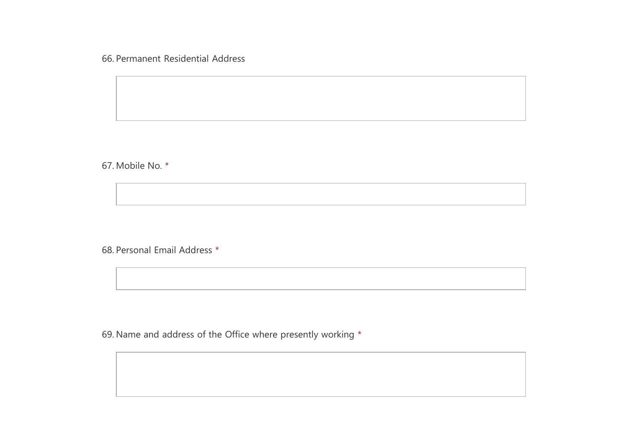66. Permanent Residential Address

67. Mobile No. \*

68. Personal Email Address \*

69. Name and address of the Office where presently working \*